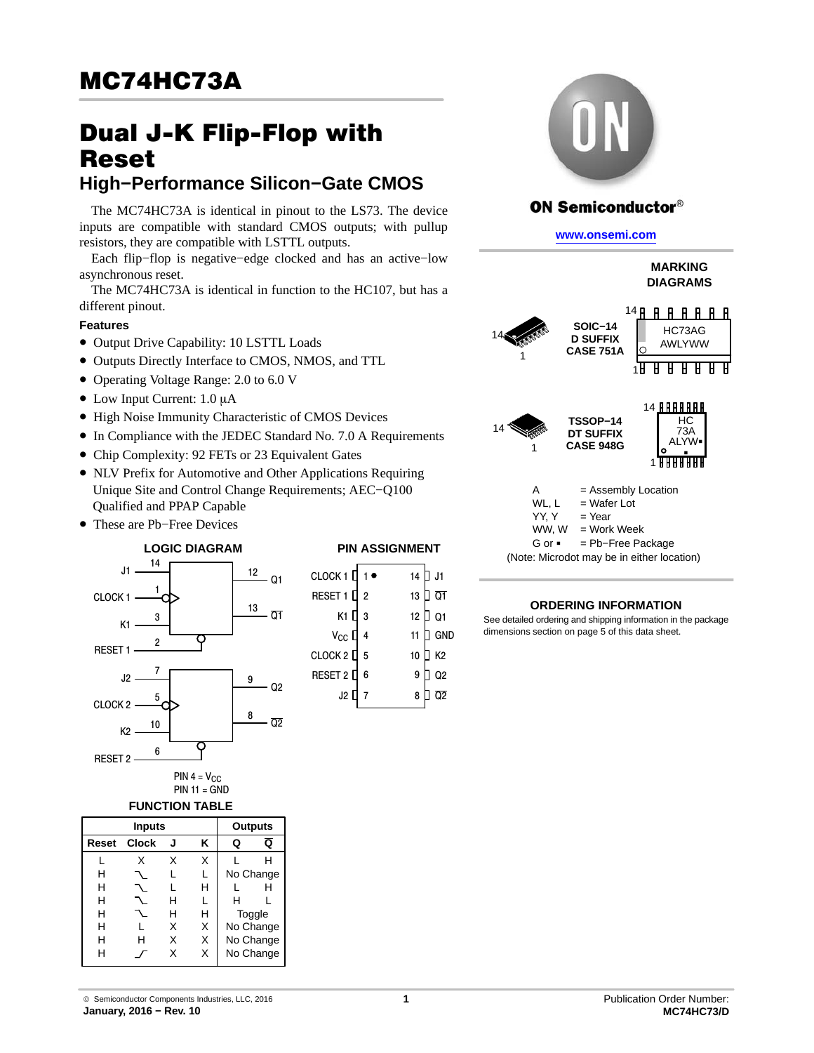# Dual J-K Flip-Flop with Reset

# **High−Performance Silicon−Gate CMOS**

The MC74HC73A is identical in pinout to the LS73. The device inputs are compatible with standard CMOS outputs; with pullup resistors, they are compatible with LSTTL outputs.

Each flip−flop is negative−edge clocked and has an active−low asynchronous reset.

The MC74HC73A is identical in function to the HC107, but has a different pinout.

## **Features**

CLO

CLO

- Output Drive Capability: 10 LSTTL Loads
- Outputs Directly Interface to CMOS, NMOS, and TTL
- Operating Voltage Range: 2.0 to 6.0 V
- $\bullet$  Low Input Current: 1.0 µA
- High Noise Immunity Characteristic of CMOS Devices
- In Compliance with the JEDEC Standard No. 7.0 A Requirements
- Chip Complexity: 92 FETs or 23 Equivalent Gates
- NLV Prefix for Automotive and Other Applications Requiring Unique Site and Control Change Requirements; AEC−Q100 Qualified and PPAP Capable
- These are Pb−Free Devices

 $14 -$ 

#### **LOGIC DIAGRAM**



T.

 $\overline{A}$ 

| J1                 | $\mathbf{r}$   |                  | 12<br>Q1             |  |
|--------------------|----------------|------------------|----------------------|--|
| CLOCK <sub>1</sub> |                |                  | 13                   |  |
| K1                 | 3              |                  | Q1                   |  |
| RESET <sub>1</sub> | $\overline{2}$ |                  |                      |  |
| J <sub>2</sub>     | 7              |                  | 9<br>Q <sub>2</sub>  |  |
| CLOCK <sub>2</sub> | 5              |                  |                      |  |
| K <sub>2</sub>     | 10             |                  | 8<br>$\overline{Q2}$ |  |
| <b>RESET 2</b>     | 6              |                  |                      |  |
|                    |                | <b>PULL 4</b> 17 |                      |  |

PIN 4 =  $V_{CC}$  $PIN 11 = GND$ 

#### **FUNCTION TABLE**

|       | <b>Inputs</b> |   |   |        | <b>Outputs</b> |
|-------|---------------|---|---|--------|----------------|
| Reset | <b>Clock</b>  | J | ĸ | Q      | Q              |
|       | x             | x | X |        | н              |
| н     |               |   |   |        | No Change      |
| н     |               |   | н |        |                |
| н     |               | н | L | н      |                |
| н     |               | н | н | Toggle |                |
| н     |               | X | X |        | No Change      |
| н     | н             | x | X |        | No Change      |
| н     |               | x | x |        | No Change      |

| CLOCK 1 ∐ 1 ●   |                |                 | 14 U J1 |
|-----------------|----------------|-----------------|---------|
| RESET 1         | $\overline{2}$ | 13              | ] Q1    |
| К1 Ц 3          |                | 12 <sub>2</sub> | I Q1    |
| $V_{CC}$ $\Box$ | $\overline{4}$ | 11              | GND     |
| CLOCK 2 [] 5    |                | 10              | ] K2    |
| RESET 2 [       | 6              | 9               | Q2      |
| J2 0            | $\overline{7}$ | 8               | Q2      |
|                 |                |                 |         |



## **ON Semiconductor®**

**[www.onsemi.com]( http://www.onsemi.com/)**

**MARKING DIAGRAMS**



 $YY, Y = Year$ WW,  $W = Work$  Week G or -= Pb−Free Package

(Note: Microdot may be in either location)

#### **ORDERING INFORMATION**

See detailed ordering and shipping information in the package dimensions section on page [5](#page-4-0) of this data sheet.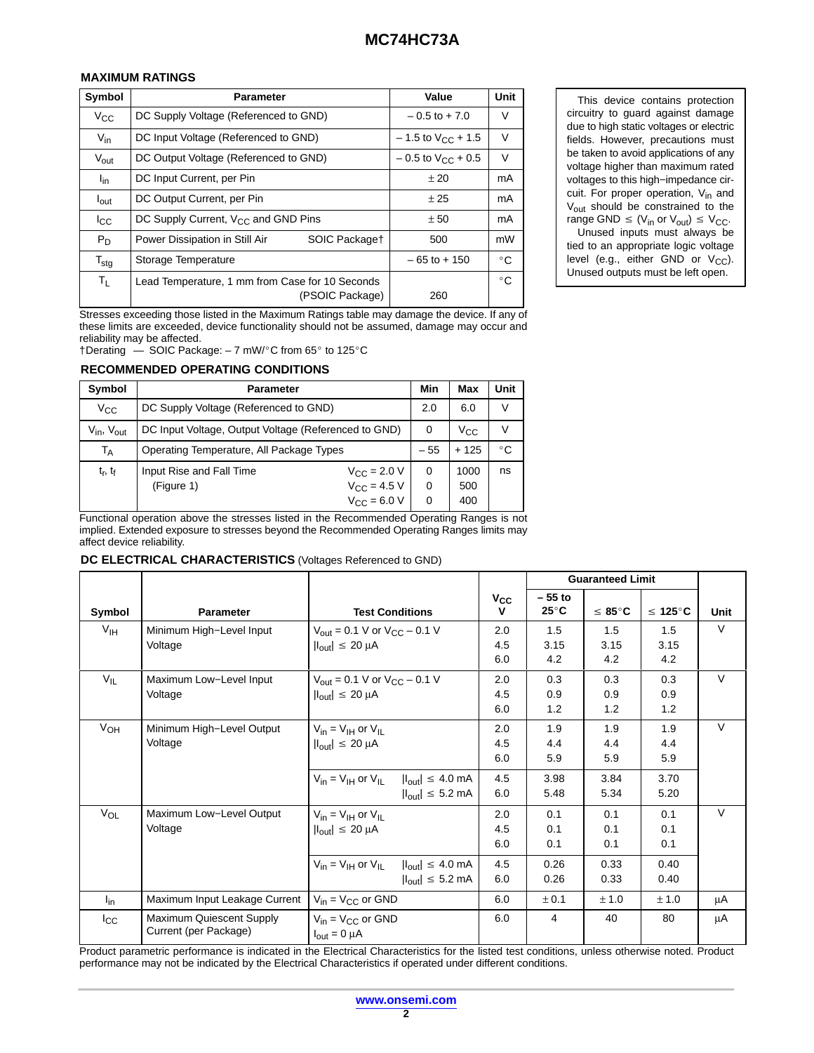## **MAXIMUM RATINGS**

| Symbol           | <b>Parameter</b>                                                   | Value                           | <b>Unit</b>  |
|------------------|--------------------------------------------------------------------|---------------------------------|--------------|
| $V_{\rm CC}$     | DC Supply Voltage (Referenced to GND)                              | $-0.5$ to $+7.0$                | V            |
| $V_{\text{in}}$  | DC Input Voltage (Referenced to GND)                               | $-1.5$ to V <sub>CC</sub> + 1.5 | $\vee$       |
| $V_{\text{out}}$ | DC Output Voltage (Referenced to GND)                              | $-0.5$ to $V_{CC}$ + 0.5        | V            |
| l <sub>in</sub>  | DC Input Current, per Pin                                          | ±20                             | mA           |
| $I_{\text{out}}$ | DC Output Current, per Pin                                         | ± 25                            | mA           |
| $_{\rm lcc}$     | DC Supply Current, $V_{CC}$ and GND Pins                           | ± 50                            | mA           |
| $P_D$            | Power Dissipation in Still Air<br>SOIC Packaget                    | 500                             | mW           |
| $T_{\text{stg}}$ | Storage Temperature                                                | $-65$ to $+150$                 | $^{\circ}$ C |
| $T_{L}$          | Lead Temperature, 1 mm from Case for 10 Seconds<br>(PSOIC Package) | 260                             | $^{\circ}$ C |

This device contains protection circuitry to guard against damage due to high static voltages or electric fields. However, precautions must be taken to avoid applications of any voltage higher than maximum rated voltages to this high−impedance circuit. For proper operation, V<sub>in</sub> and V<sub>out</sub> should be constrained to the range GND  $\leq$  (V<sub>in</sub> or V<sub>out</sub>)  $\leq$  V<sub>CC</sub>.

Unused inputs must always be tied to an appropriate logic voltage level (e.g., either GND or  $V_{CC}$ ). Unused outputs must be left open.

Stresses exceeding those listed in the Maximum Ratings table may damage the device. If any of these limits are exceeded, device functionality should not be assumed, damage may occur and reliability may be affected.

 $\dagger$ Derating  $\phantom{0}$  SOIC Package: - 7 mW/°C from 65° to 125°C

#### **RECOMMENDED OPERATING CONDITIONS**

| Symbol               | <b>Parameter</b>                                     |                                                                 | Min         | Max                | Unit         |
|----------------------|------------------------------------------------------|-----------------------------------------------------------------|-------------|--------------------|--------------|
| $V_{CC}$             | DC Supply Voltage (Referenced to GND)                |                                                                 | 2.0         | 6.0                | $\vee$       |
| $V_{in}$ , $V_{out}$ | DC Input Voltage, Output Voltage (Referenced to GND) |                                                                 | 0           | $V_{\rm CC}$       | V            |
| Т <sub>А</sub>       | Operating Temperature, All Package Types             |                                                                 | $-55$       | $+125$             | $^{\circ}$ C |
| $t_r$ , $t_f$        | Input Rise and Fall Time<br>(Figure 1)               | $V_{CC}$ = 2.0 V<br>$V_{CC}$ = 4.5 V<br>$V_{\text{CC}} = 6.0 V$ | 0<br>0<br>0 | 1000<br>500<br>400 | ns           |

Functional operation above the stresses listed in the Recommended Operating Ranges is not implied. Extended exposure to stresses beyond the Recommended Operating Ranges limits may affect device reliability.

#### **DC ELECTRICAL CHARACTERISTICS** (Voltages Referenced to GND)

|                 |                                                   |                                                                                                                   |                          |                            | <b>Guaranteed Limit</b>   |                           |        |
|-----------------|---------------------------------------------------|-------------------------------------------------------------------------------------------------------------------|--------------------------|----------------------------|---------------------------|---------------------------|--------|
| Symbol          | <b>Parameter</b>                                  | <b>Test Conditions</b>                                                                                            | $V_{CC}$<br>v            | $-55$ to<br>$25^{\circ}$ C | $\leq 85^{\circ}$ C       | $\leq 125^{\circ}$ C      | Unit   |
| V <sub>IH</sub> | Minimum High-Level Input<br>Voltage               | $V_{\text{out}} = 0.1 \text{ V}$ or $V_{\text{CC}} - 0.1 \text{ V}$<br>$ I_{\text{out}}  \leq 20 \mu A$           | 2.0<br>4.5<br>6.0        | 1.5<br>3.15<br>4.2         | 1.5<br>3.15<br>4.2        | 1.5<br>3.15<br>4.2        | V      |
| $V_{IL}$        | Maximum Low-Level Input<br>Voltage                | $V_{\text{out}} = 0.1 \text{ V or } V_{\text{CC}} - 0.1 \text{ V}$<br>$ I_{\text{out}}  \leq 20 \mu A$            | 2.0<br>4.5<br>6.0        | 0.3<br>0.9<br>1.2          | 0.3<br>0.9<br>1.2         | 0.3<br>0.9<br>1.2         | $\vee$ |
| V <sub>OH</sub> | Minimum High-Level Output<br>Voltage              | $V_{in} = V_{IH}$ or $V_{II}$<br>$ I_{\text{out}}  \leq 20 \mu A$                                                 | 2.0<br>4.5<br>6.0        | 1.9<br>4.4<br>5.9          | 1.9<br>4.4<br>5.9         | 1.9<br>4.4<br>5.9         | $\vee$ |
|                 |                                                   | $V_{in} = V_{IH}$ or $V_{IL}$<br>$ I_{\text{out}}  \leq 4.0 \text{ mA}$<br>$ I_{\text{out}}  \leq 5.2$ mA         | 4.5<br>6.0               | 3.98<br>5.48               | 3.84<br>5.34              | 3.70<br>5.20              |        |
| $V_{OL}$        | Maximum Low-Level Output<br>Voltage               | $V_{in} = V_{IH}$ or $V_{II}$<br>$ I_{\text{out}}  \leq 20 \mu A$                                                 | 2.0<br>4.5<br>6.0<br>4.5 | 0.1<br>0.1<br>0.1<br>0.26  | 0.1<br>0.1<br>0.1<br>0.33 | 0.1<br>0.1<br>0.1<br>0.40 | $\vee$ |
|                 |                                                   | $V_{in} = V_{IH}$ or $V_{II}$<br>$ I_{\text{out}}  \leq 4.0 \text{ mA}$<br>$ I_{\text{out}}  \leq 5.2 \text{ mA}$ | 6.0                      | 0.26                       | 0.33                      | 0.40                      |        |
| $I_{in}$        | Maximum Input Leakage Current                     | $V_{in}$ = $V_{CC}$ or GND                                                                                        | 6.0                      | ± 0.1                      | ± 1.0                     | ± 1.0                     | μA     |
| $_{\rm lcc}$    | Maximum Quiescent Supply<br>Current (per Package) | $V_{in} = V_{CC}$ or GND<br>$I_{\text{out}} = 0 \mu A$                                                            | 6.0                      | $\overline{4}$             | 40                        | 80                        | μA     |

Product parametric performance is indicated in the Electrical Characteristics for the listed test conditions, unless otherwise noted. Product performance may not be indicated by the Electrical Characteristics if operated under different conditions.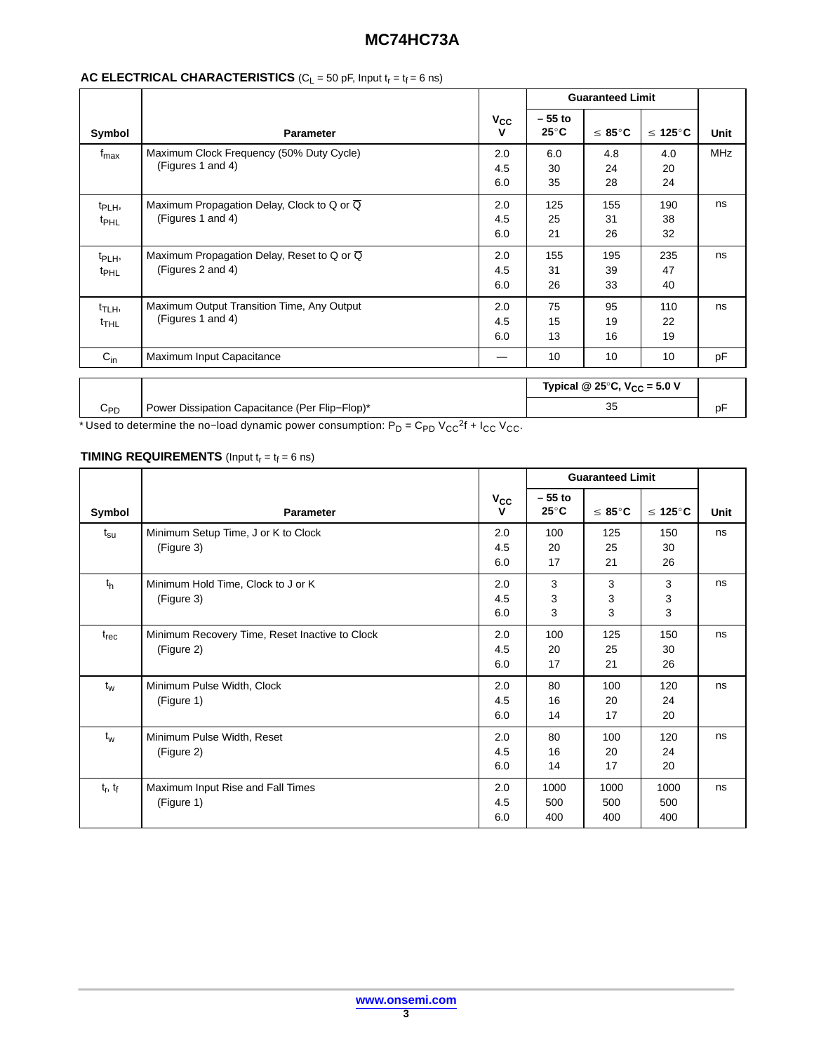# **MC74HC73A**

|                                        |                                                                              |                   |                            | <b>Guaranteed Limit</b>                           |                      |            |
|----------------------------------------|------------------------------------------------------------------------------|-------------------|----------------------------|---------------------------------------------------|----------------------|------------|
| Symbol                                 | <b>Parameter</b>                                                             | $V_{CC}$<br>v     | $-55$ to<br>$25^{\circ}$ C | $\leq 85^{\circ}$ C                               | $\leq 125^{\circ}$ C | Unit       |
| $t_{\text{max}}$                       | Maximum Clock Frequency (50% Duty Cycle)<br>(Figures 1 and 4)                | 2.0<br>4.5<br>6.0 | 6.0<br>30<br>35            | 4.8<br>24<br>28                                   | 4.0<br>20<br>24      | <b>MHz</b> |
| $t_{\mathsf{PLH}}$<br>t <sub>PHL</sub> | Maximum Propagation Delay, Clock to Q or $\overline{Q}$<br>(Figures 1 and 4) | 2.0<br>4.5<br>6.0 | 125<br>25<br>21            | 155<br>31<br>26                                   | 190<br>38<br>32      | ns         |
| t <sub>PLH</sub> ,<br><sup>t</sup> PHL | Maximum Propagation Delay, Reset to Q or Q<br>(Figures 2 and 4)              | 2.0<br>4.5<br>6.0 | 155<br>31<br>26            | 195<br>39<br>33                                   | 235<br>47<br>40      | ns         |
| t <sub>TLH</sub> ,<br><sup>t</sup> THL | Maximum Output Transition Time, Any Output<br>(Figures 1 and 4)              | 2.0<br>4.5<br>6.0 | 75<br>15<br>13             | 95<br>19<br>16                                    | 110<br>22<br>19      | ns         |
| $C_{in}$                               | Maximum Input Capacitance                                                    |                   | 10                         | 10                                                | 10                   | pF         |
|                                        |                                                                              |                   |                            | Typical @ 25 $\degree$ C, V <sub>CC</sub> = 5.0 V |                      |            |
| $C_{PD}$                               | Power Dissipation Capacitance (Per Flip-Flop)*                               |                   |                            | 35                                                |                      | pF         |

## **AC ELECTRICAL CHARACTERISTICS**  $(C_L = 50 \text{ pF, Input } t_r = t_f = 6 \text{ ns})$

\* Used to determine the no–load dynamic power consumption: P<sub>D</sub> = C<sub>PD</sub> V<sub>CC</sub><sup>2</sup>f + I<sub>CC</sub> V<sub>CC</sub>.

## **TIMING REQUIREMENTS** (Input  $t_r = t_f = 6$  ns)

|                |                                                              |                   |                            | <b>Guaranteed Limit</b> |                      |      |
|----------------|--------------------------------------------------------------|-------------------|----------------------------|-------------------------|----------------------|------|
| Symbol         | <b>Parameter</b>                                             | $V_{CC}$<br>v     | $-55$ to<br>$25^{\circ}$ C | $\leq 85^{\circ}$ C     | $\leq 125^{\circ}$ C | Unit |
| $t_{\rm su}$   | Minimum Setup Time, J or K to Clock<br>(Figure 3)            | 2.0<br>4.5<br>6.0 | 100<br>20<br>17            | 125<br>25<br>21         | 150<br>30<br>26      | ns   |
| t <sub>h</sub> | Minimum Hold Time, Clock to J or K<br>(Figure 3)             | 2.0<br>4.5<br>6.0 | 3<br>3<br>3                | 3<br>3<br>3             | 3<br>3<br>3          | ns   |
| $t_{rec}$      | Minimum Recovery Time, Reset Inactive to Clock<br>(Figure 2) | 2.0<br>4.5<br>6.0 | 100<br>20<br>17            | 125<br>25<br>21         | 150<br>30<br>26      | ns   |
| $t_w$          | Minimum Pulse Width, Clock<br>(Figure 1)                     | 2.0<br>4.5<br>6.0 | 80<br>16<br>14             | 100<br>20<br>17         | 120<br>24<br>20      | ns   |
| $t_w$          | Minimum Pulse Width, Reset<br>(Figure 2)                     | 2.0<br>4.5<br>6.0 | 80<br>16<br>14             | 100<br>20<br>17         | 120<br>24<br>20      | ns   |
| $t_r, t_f$     | Maximum Input Rise and Fall Times<br>(Figure 1)              | 2.0<br>4.5<br>6.0 | 1000<br>500<br>400         | 1000<br>500<br>400      | 1000<br>500<br>400   | ns   |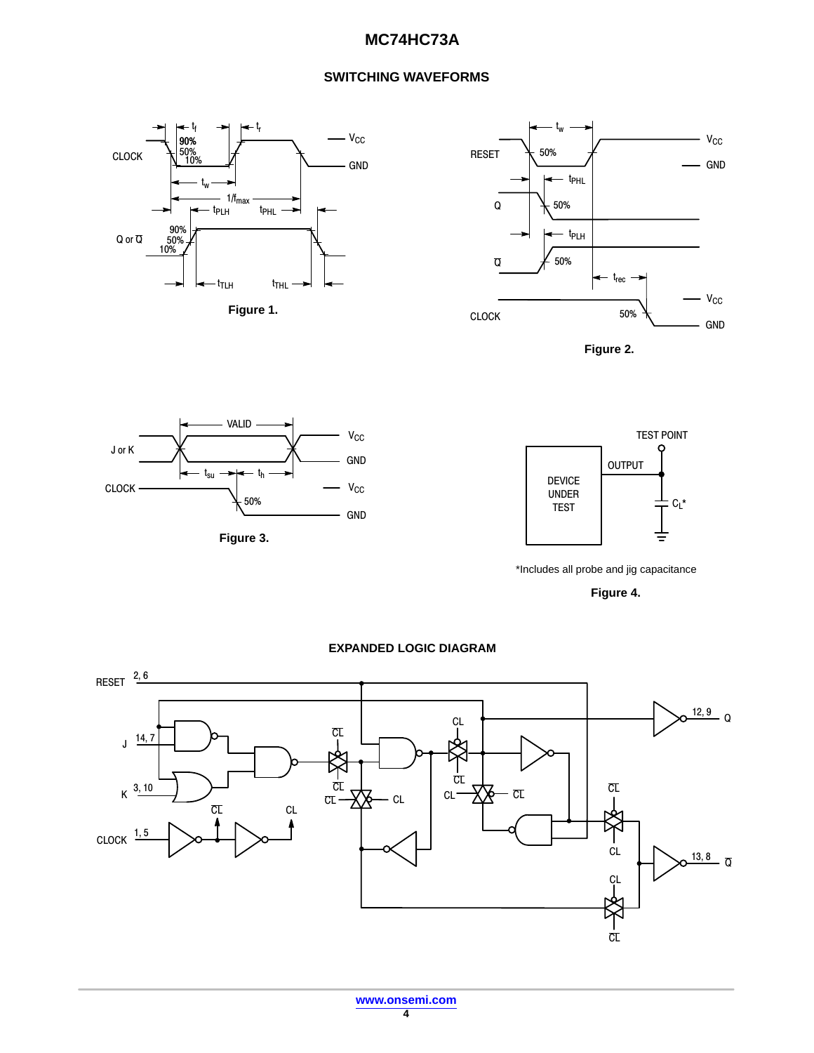# **MC74HC73A**

## **SWITCHING WAVEFORMS**





**Figure 2.** 







\*Includes all probe and jig capacitance

**Figure 4.** 

#### **EXPANDED LOGIC DIAGRAM**

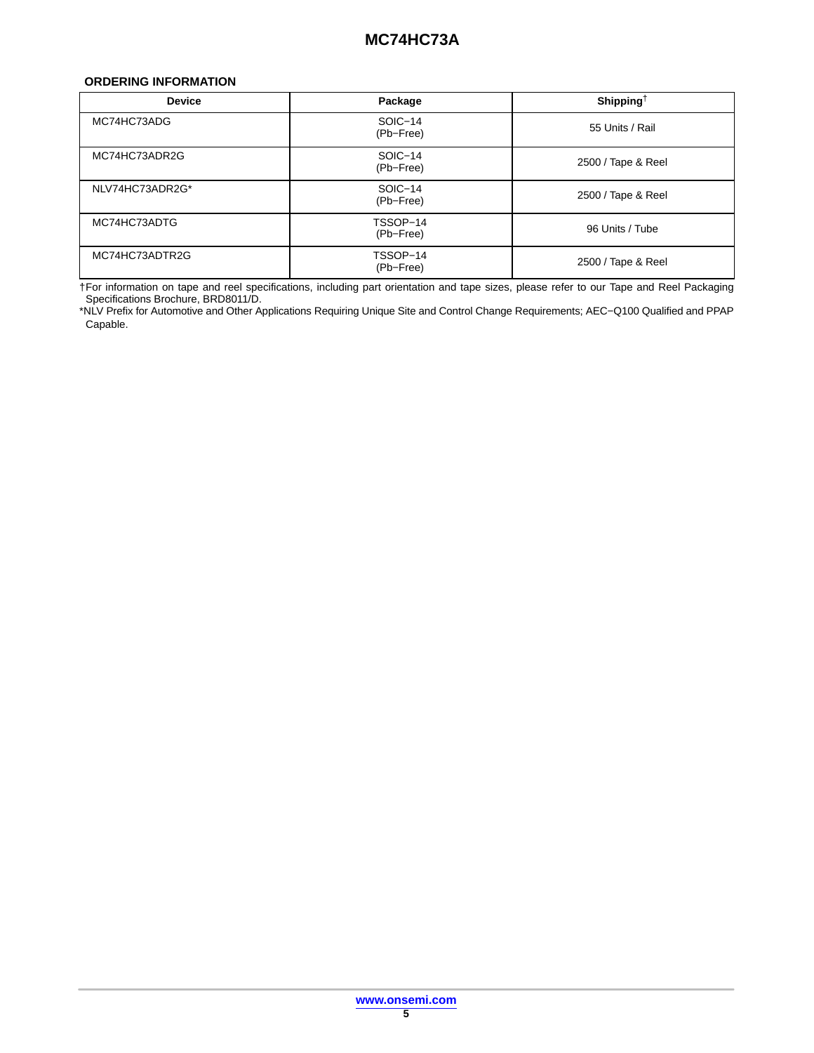#### <span id="page-4-0"></span>**ORDERING INFORMATION**

| <b>Device</b>   | Package               | Shipping <sup>†</sup> |
|-----------------|-----------------------|-----------------------|
| MC74HC73ADG     | SOIC-14<br>(Pb-Free)  | 55 Units / Rail       |
| MC74HC73ADR2G   | SOIC-14<br>(Pb-Free)  | 2500 / Tape & Reel    |
| NLV74HC73ADR2G* | SOIC-14<br>(Pb-Free)  | 2500 / Tape & Reel    |
| MC74HC73ADTG    | TSSOP-14<br>(Pb-Free) | 96 Units / Tube       |
| MC74HC73ADTR2G  | TSSOP-14<br>(Pb-Free) | 2500 / Tape & Reel    |

†For information on tape and reel specifications, including part orientation and tape sizes, please refer to our Tape and Reel Packaging Specifications Brochure, BRD8011/D.

\*NLV Prefix for Automotive and Other Applications Requiring Unique Site and Control Change Requirements; AEC−Q100 Qualified and PPAP Capable.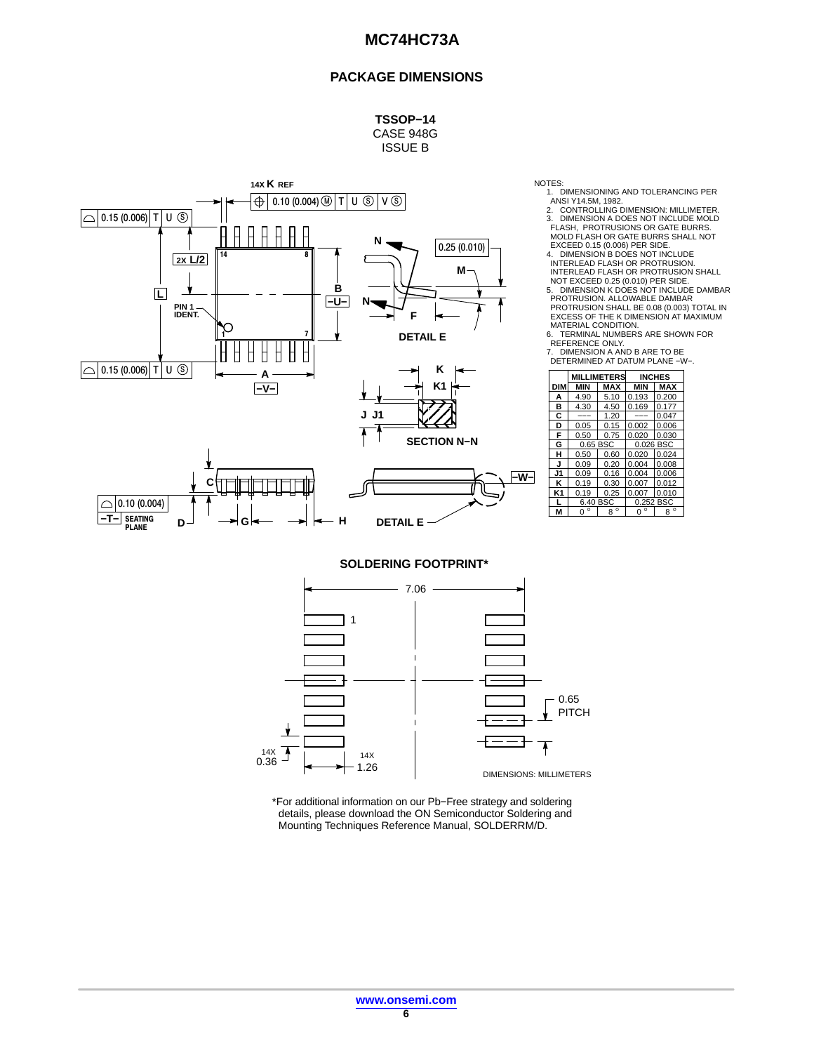#### **PACKAGE DIMENSIONS**

**TSSOP−14** CASE 948G ISSUE B



NOTES:

1. DIMENSIONING AND TOLERANCING PER<br>ANSI Y14.5M, 1982.<br>2. CONTROLLING DIMENSION: MILLIMETER.<br>3. DIMENSION A DOES NOT INCLUDE MOLD<br>FLASH OR GATE BURRS SHALL NOT<br>MOLD FLASH OR GATE BURRS SHALL NOT

EXCEED 0.15 (0.006) PER SIDE. 4. DIMENSION B DOES NOT INCLUDE INTERLEAD FLASH OR PROTRUSION. INTERLEAD FLASH OR PROTRUSION SHALL NOT EXCEED 0.25 (0.010) PER SIDE.

5. DIMENSION K DOES NOT INCLUDE DAMBAR<br>PROTRUSION. ALLOWABLE DAMBAR<br>PROTRUSION SHALL BE 0.08 (0.003) TOTAL IN<br>EXCESS OF THE K DIMENSION AT MAXIMUM<br>MATERIAL CONDITION.<br>6. TERMINAL NUMBERS ARE SHOWN FOR

REFERENCE ONLY. 7. DIMENSION A AND B ARE TO BE DETERMINED AT DATUM PLANE −W−.

| ĸ                  |            |             |                    |               |             |
|--------------------|------------|-------------|--------------------|---------------|-------------|
|                    |            |             | <b>MILLIMETERS</b> | <b>INCHES</b> |             |
| K <sub>1</sub>     | <b>DIM</b> | <b>MIN</b>  | <b>MAX</b>         | <b>MIN</b>    | <b>MAX</b>  |
|                    | А          | 4.90        | 5.10               | 0.193         | 0.200       |
|                    | в          | 4.30        | 4.50               | 0.169         | 0.177       |
|                    | С          | ---         | 1.20               | ---           | 0.047       |
|                    | D          | 0.05        | 0.15               | 0.002         | 0.006       |
|                    | F          | 0.50        | 0.75               | 0.020         | 0.030       |
| <b>SECTION N-N</b> | G          | 0.65 BSC    |                    | 0.026 BSC     |             |
|                    | н          | 0.50        | 0.60               | 0.020         | 0.024       |
|                    | J          | 0.09        | 0.20               | 0.004         | 0.008       |
| -W-l               | J1         | 0.09        | 0.16               | 0.004         | 0.006       |
|                    | κ          | 0.19        | 0.30               | 0.007         | 0.012       |
|                    | K1         | 0.19        | 0.25               | 0.007         | 0.010       |
|                    |            | 6.40 BSC    |                    | 0.252 BSC     |             |
|                    | M          | $0^{\circ}$ | $\circ$<br>8       | $0^{\circ}$   | $8^{\circ}$ |
|                    |            |             |                    |               |             |

**SOLDERING FOOTPRINT\***



\*For additional information on our Pb−Free strategy and soldering details, please download the ON Semiconductor Soldering and Mounting Techniques Reference Manual, SOLDERRM/D.